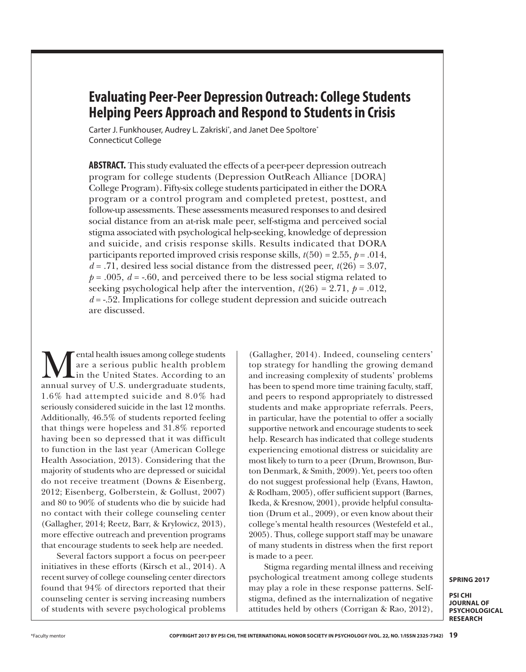# **Evaluating Peer-Peer Depression Outreach: College Students Helping Peers Approach and Respond to Students in Crisis**

Carter J. Funkhouser, Audrey L. Zakriski\*, and Janet Dee Spoltore\* Connecticut College

**ABSTRACT.** This study evaluated the effects of a peer-peer depression outreach program for college students (Depression OutReach Alliance [DORA] College Program). Fifty-six college students participated in either the DORA program or a control program and completed pretest, posttest, and follow-up assessments. These assessments measured responses to and desired social distance from an at-risk male peer, self-stigma and perceived social stigma associated with psychological help-seeking, knowledge of depression and suicide, and crisis response skills. Results indicated that DORA participants reported improved crisis response skills,  $t(50) = 2.55$ ,  $p = .014$ ,  $d = .71$ , desired less social distance from the distressed peer,  $t(26) = 3.07$ ,  $p = .005$ ,  $d = -.60$ , and perceived there to be less social stigma related to seeking psychological help after the intervention,  $t(26) = 2.71$ ,  $p = .012$ , *d* = -.52. Implications for college student depression and suicide outreach are discussed.

**M**ental health issues among college students<br>are a serious public health problem<br>annual survey of U.S. undergraduate students are a serious public health problem in the United States. According to an annual survey of U.S. undergraduate students, 1.6% had attempted suicide and 8.0% had seriously considered suicide in the last 12 months. Additionally, 46.5% of students reported feeling that things were hopeless and 31.8% reported having been so depressed that it was difficult to function in the last year (American College Health Association, 2013). Considering that the majority of students who are depressed or suicidal do not receive treatment (Downs & Eisenberg, 2012; Eisenberg, Golberstein, & Gollust, 2007) and 80 to 90% of students who die by suicide had no contact with their college counseling center (Gallagher, 2014; Reetz, Barr, & Krylowicz, 2013), more effective outreach and prevention programs that encourage students to seek help are needed.

Several factors support a focus on peer-peer initiatives in these efforts (Kirsch et al., 2014). A recent survey of college counseling center directors found that 94% of directors reported that their counseling center is serving increasing numbers of students with severe psychological problems

(Gallagher, 2014). Indeed, counseling centers' top strategy for handling the growing demand and increasing complexity of students' problems has been to spend more time training faculty, staff, and peers to respond appropriately to distressed students and make appropriate referrals. Peers, in particular, have the potential to offer a socially supportive network and encourage students to seek help. Research has indicated that college students experiencing emotional distress or suicidality are most likely to turn to a peer (Drum, Brownson, Burton Denmark, & Smith, 2009). Yet, peers too often do not suggest professional help (Evans, Hawton, & Rodham, 2005), offer sufficient support (Barnes, Ikeda, & Kresnow, 2001), provide helpful consultation (Drum et al., 2009), or even know about their college's mental health resources (Westefeld et al., 2005). Thus, college support staff may be unaware of many students in distress when the first report is made to a peer.

Stigma regarding mental illness and receiving psychological treatment among college students may play a role in these response patterns. Selfstigma, defined as the internalization of negative attitudes held by others (Corrigan & Rao, 2012),

**SPRING 2017**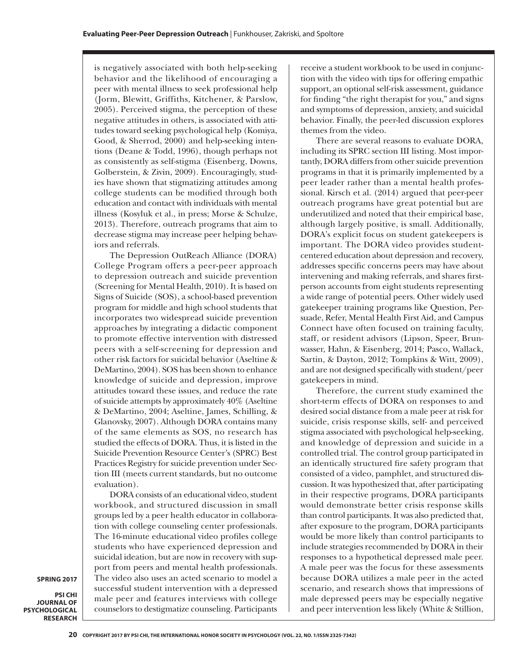is negatively associated with both help-seeking behavior and the likelihood of encouraging a peer with mental illness to seek professional help (Jorm, Blewitt, Griffiths, Kitchener, & Parslow, 2005). Perceived stigma, the perception of these negative attitudes in others, is associated with attitudes toward seeking psychological help (Komiya, Good, & Sherrod, 2000) and help-seeking intentions (Deane & Todd, 1996), though perhaps not as consistently as self-stigma (Eisenberg, Downs, Golberstein, & Zivin, 2009). Encouragingly, studies have shown that stigmatizing attitudes among college students can be modified through both education and contact with individuals with mental illness (Kosyluk et al., in press; Morse & Schulze, 2013). Therefore, outreach programs that aim to decrease stigma may increase peer helping behaviors and referrals.

The Depression OutReach Alliance (DORA) College Program offers a peer-peer approach to depression outreach and suicide prevention (Screening for Mental Health, 2010). It is based on Signs of Suicide (SOS), a school-based prevention program for middle and high school students that incorporates two widespread suicide prevention approaches by integrating a didactic component to promote effective intervention with distressed peers with a self-screening for depression and other risk factors for suicidal behavior (Aseltine & DeMartino, 2004). SOS has been shown to enhance knowledge of suicide and depression, improve attitudes toward these issues, and reduce the rate of suicide attempts by approximately 40% (Aseltine & DeMartino, 2004; Aseltine, James, Schilling, & Glanovsky, 2007). Although DORA contains many of the same elements as SOS, no research has studied the effects of DORA. Thus, it is listed in the Suicide Prevention Resource Center's (SPRC) Best Practices Registry for suicide prevention under Section III (meets current standards, but no outcome evaluation).

DORA consists of an educational video, student workbook, and structured discussion in small groups led by a peer health educator in collaboration with college counseling center professionals. The 16-minute educational video profiles college students who have experienced depression and suicidal ideation, but are now in recovery with support from peers and mental health professionals. The video also uses an acted scenario to model a successful student intervention with a depressed male peer and features interviews with college counselors to destigmatize counseling. Participants

receive a student workbook to be used in conjunction with the video with tips for offering empathic support, an optional self-risk assessment, guidance for finding "the right therapist for you," and signs and symptoms of depression, anxiety, and suicidal behavior. Finally, the peer-led discussion explores themes from the video.

There are several reasons to evaluate DORA, including its SPRC section III listing. Most importantly, DORA differs from other suicide prevention programs in that it is primarily implemented by a peer leader rather than a mental health professional. Kirsch et al. (2014) argued that peer-peer outreach programs have great potential but are underutilized and noted that their empirical base, although largely positive, is small. Additionally, DORA's explicit focus on student gatekeepers is important. The DORA video provides studentcentered education about depression and recovery, addresses specific concerns peers may have about intervening and making referrals, and shares firstperson accounts from eight students representing a wide range of potential peers. Other widely used gatekeeper training programs like Question, Persuade, Refer, Mental Health First Aid, and Campus Connect have often focused on training faculty, staff, or resident advisors (Lipson, Speer, Brunwasser, Hahn, & Eisenberg, 2014; Pasco, Wallack, Sartin, & Dayton, 2012; Tompkins & Witt, 2009), and are not designed specifically with student/peer gatekeepers in mind.

Therefore, the current study examined the short-term effects of DORA on responses to and desired social distance from a male peer at risk for suicide, crisis response skills, self- and perceived stigma associated with psychological help-seeking, and knowledge of depression and suicide in a controlled trial. The control group participated in an identically structured fire safety program that consisted of a video, pamphlet, and structured discussion. It was hypothesized that, after participating in their respective programs, DORA participants would demonstrate better crisis response skills than control participants. It was also predicted that, after exposure to the program, DORA participants would be more likely than control participants to include strategies recommended by DORA in their responses to a hypothetical depressed male peer. A male peer was the focus for these assessments because DORA utilizes a male peer in the acted scenario, and research shows that impressions of male depressed peers may be especially negative and peer intervention less likely (White & Stillion,

**SPRING 2017**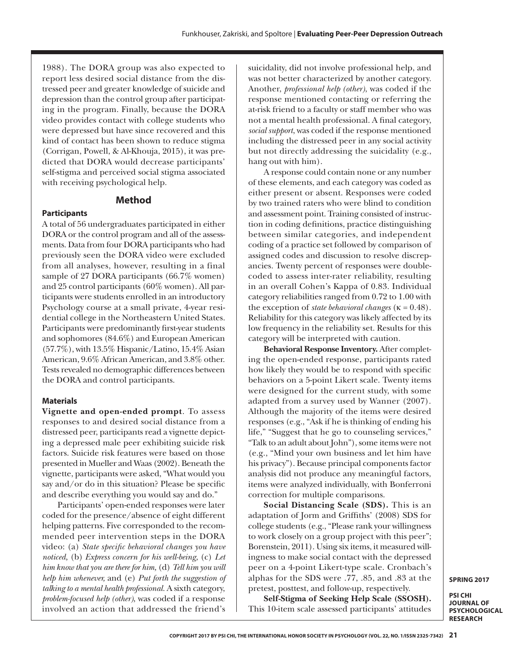1988). The DORA group was also expected to report less desired social distance from the distressed peer and greater knowledge of suicide and depression than the control group after participating in the program. Finally, because the DORA video provides contact with college students who were depressed but have since recovered and this kind of contact has been shown to reduce stigma (Corrigan, Powell, & Al-Khouja, 2015), it was predicted that DORA would decrease participants' self-stigma and perceived social stigma associated with receiving psychological help.

### **Method**

#### **Participants**

A total of 56 undergraduates participated in either DORA or the control program and all of the assessments. Data from four DORA participants who had previously seen the DORA video were excluded from all analyses, however, resulting in a final sample of 27 DORA participants (66.7% women) and 25 control participants (60% women). All participants were students enrolled in an introductory Psychology course at a small private, 4-year residential college in the Northeastern United States. Participants were predominantly first-year students and sophomores (84.6%) and European American (57.7%), with 13.5% Hispanic/Latino, 15.4% Asian American, 9.6% African American, and 3.8% other. Tests revealed no demographic differences between the DORA and control participants.

#### **Materials**

**Vignette and open-ended prompt**. To assess responses to and desired social distance from a distressed peer, participants read a vignette depicting a depressed male peer exhibiting suicide risk factors. Suicide risk features were based on those presented in Mueller and Waas (2002). Beneath the vignette, participants were asked, "What would you say and/or do in this situation? Please be specific and describe everything you would say and do."

Participants' open-ended responses were later coded for the presence/absence of eight different helping patterns. Five corresponded to the recommended peer intervention steps in the DORA video: (a) *State specific behavioral changes you have noticed,* (b) *Express concern for his well-being,* (c) *Let him know that you are there for him,* (d) *Tell him you will help him whenever,* and (e) *Put forth the suggestion of talking to a mental health professional.* A sixth category, *problem-focused help (other)*, was coded if a response involved an action that addressed the friend's

suicidality, did not involve professional help, and was not better characterized by another category. Another, *professional help (other)*, was coded if the response mentioned contacting or referring the at-risk friend to a faculty or staff member who was not a mental health professional. A final category, *social support*, was coded if the response mentioned including the distressed peer in any social activity but not directly addressing the suicidality (e.g., hang out with him).

A response could contain none or any number of these elements, and each category was coded as either present or absent. Responses were coded by two trained raters who were blind to condition and assessment point. Training consisted of instruction in coding definitions, practice distinguishing between similar categories, and independent coding of a practice set followed by comparison of assigned codes and discussion to resolve discrepancies. Twenty percent of responses were doublecoded to assess inter-rater reliability, resulting in an overall Cohen's Kappa of 0.83. Individual category reliabilities ranged from 0.72 to 1.00 with the exception of *state behavioral changes* (κ = 0.48). Reliability for this category was likely affected by its low frequency in the reliability set. Results for this category will be interpreted with caution.

**Behavioral Response Inventory.** After completing the open-ended response, participants rated how likely they would be to respond with specific behaviors on a 5-point Likert scale. Twenty items were designed for the current study, with some adapted from a survey used by Wanner (2007). Although the majority of the items were desired responses (e.g., "Ask if he is thinking of ending his life," "Suggest that he go to counseling services," "Talk to an adult about John"), some items were not (e.g., "Mind your own business and let him have his privacy"). Because principal components factor analysis did not produce any meaningful factors, items were analyzed individually, with Bonferroni correction for multiple comparisons.

**Social Distancing Scale (SDS).** This is an adaptation of Jorm and Griffiths' (2008) SDS for college students (e.g., "Please rank your willingness to work closely on a group project with this peer"; Borenstein, 2011). Using six items, it measured willingness to make social contact with the depressed peer on a 4-point Likert-type scale. Cronbach's alphas for the SDS were .77, .85, and .83 at the pretest, posttest, and follow-up, respectively.

**Self-Stigma of Seeking Help Scale (SSOSH).**  This 10-item scale assessed participants' attitudes

**SPRING 2017**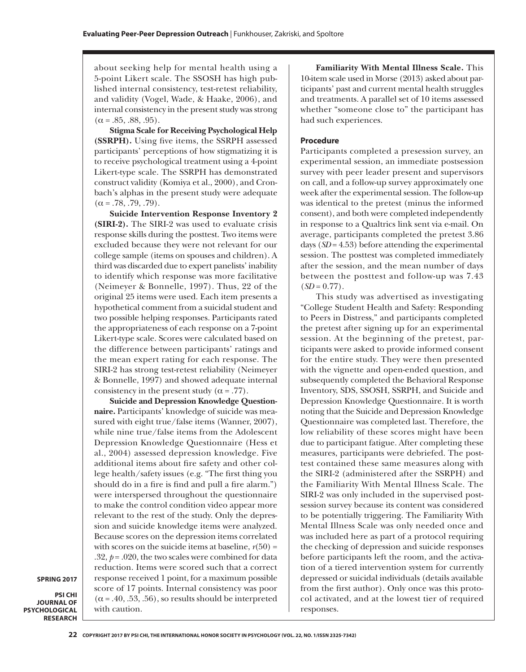about seeking help for mental health using a 5-point Likert scale. The SSOSH has high published internal consistency, test-retest reliability, and validity (Vogel, Wade, & Haake, 2006), and internal consistency in the present study was strong  $(\alpha = .85, .88, .95).$ 

**Stigma Scale for Receiving Psychological Help (SSRPH).** Using five items, the SSRPH assessed participants' perceptions of how stigmatizing it is to receive psychological treatment using a 4-point Likert-type scale. The SSRPH has demonstrated construct validity (Komiya et al., 2000), and Cronbach's alphas in the present study were adequate  $(\alpha = .78, .79, .79).$ 

**Suicide Intervention Response Inventory 2 (SIRI-2).** The SIRI-2 was used to evaluate crisis response skills during the posttest. Two items were excluded because they were not relevant for our college sample (items on spouses and children). A third was discarded due to expert panelists' inability to identify which response was more facilitative (Neimeyer & Bonnelle, 1997). Thus, 22 of the original 25 items were used. Each item presents a hypothetical comment from a suicidal student and two possible helping responses. Participants rated the appropriateness of each response on a 7-point Likert-type scale. Scores were calculated based on the difference between participants' ratings and the mean expert rating for each response. The SIRI-2 has strong test-retest reliability (Neimeyer & Bonnelle, 1997) and showed adequate internal consistency in the present study  $(\alpha = .77)$ .

**Suicide and Depression Knowledge Questionnaire.** Participants' knowledge of suicide was measured with eight true/false items (Wanner, 2007), while nine true/false items from the Adolescent Depression Knowledge Questionnaire (Hess et al., 2004) assessed depression knowledge. Five additional items about fire safety and other college health/safety issues (e.g. "The first thing you should do in a fire is find and pull a fire alarm.") were interspersed throughout the questionnaire to make the control condition video appear more relevant to the rest of the study. Only the depression and suicide knowledge items were analyzed. Because scores on the depression items correlated with scores on the suicide items at baseline,  $r(50)$  = .32,  $p = .020$ , the two scales were combined for data reduction. Items were scored such that a correct response received 1 point, for a maximum possible score of 17 points. Internal consistency was poor  $(\alpha = .40, .53, .56)$ , so results should be interpreted with caution.

**SPRING 2017**

**PSI CHI JOURNAL OF PSYCHOLOGICAL RESEARCH**

**Familiarity With Mental Illness Scale.** This 10-item scale used in Morse (2013) asked about participants' past and current mental health struggles and treatments. A parallel set of 10 items assessed whether "someone close to" the participant has had such experiences.

#### **Procedure**

Participants completed a presession survey, an experimental session, an immediate postsession survey with peer leader present and supervisors on call, and a follow-up survey approximately one week after the experimental session. The follow-up was identical to the pretest (minus the informed consent), and both were completed independently in response to a Qualtrics link sent via e-mail. On average, participants completed the pretest 3.86 days (*SD* = 4.53) before attending the experimental session. The posttest was completed immediately after the session, and the mean number of days between the posttest and follow-up was 7.43  $(SD = 0.77)$ .

This study was advertised as investigating "College Student Health and Safety: Responding to Peers in Distress," and participants completed the pretest after signing up for an experimental session. At the beginning of the pretest, participants were asked to provide informed consent for the entire study. They were then presented with the vignette and open-ended question, and subsequently completed the Behavioral Response Inventory, SDS, SSOSH, SSRPH, and Suicide and Depression Knowledge Questionnaire. It is worth noting that the Suicide and Depression Knowledge Questionnaire was completed last. Therefore, the low reliability of these scores might have been due to participant fatigue. After completing these measures, participants were debriefed. The posttest contained these same measures along with the SIRI-2 (administered after the SSRPH) and the Familiarity With Mental Illness Scale. The SIRI-2 was only included in the supervised postsession survey because its content was considered to be potentially triggering. The Familiarity With Mental Illness Scale was only needed once and was included here as part of a protocol requiring the checking of depression and suicide responses before participants left the room, and the activation of a tiered intervention system for currently depressed or suicidal individuals (details available from the first author). Only once was this protocol activated, and at the lowest tier of required responses.

**<sup>22</sup> COPYRIGHT 2017 BY PSI CHI, THE INTERNATIONAL HONOR SOCIETY IN PSYCHOLOGY (VOL. 22, NO. 1/ISSN 2325-7342)**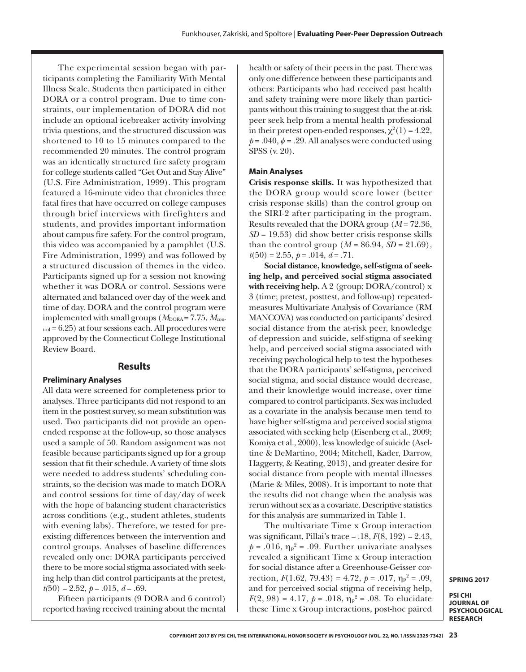The experimental session began with participants completing the Familiarity With Mental Illness Scale. Students then participated in either DORA or a control program. Due to time constraints, our implementation of DORA did not include an optional icebreaker activity involving trivia questions, and the structured discussion was shortened to 10 to 15 minutes compared to the recommended 20 minutes. The control program was an identically structured fire safety program for college students called "Get Out and Stay Alive" (U.S. Fire Administration, 1999). This program featured a 16-minute video that chronicles three fatal fires that have occurred on college campuses through brief interviews with firefighters and students, and provides important information about campus fire safety. For the control program, this video was accompanied by a pamphlet (U.S. Fire Administration, 1999) and was followed by a structured discussion of themes in the video. Participants signed up for a session not knowing whether it was DORA or control. Sessions were alternated and balanced over day of the week and time of day. DORA and the control program were implemented with small groups ( $M_{\text{DORA}} = 7.75$ ,  $M_{\text{con}}$  $_{\text{trol}}$  = 6.25) at four sessions each. All procedures were approved by the Connecticut College Institutional Review Board.

### **Results**

#### **Preliminary Analyses**

All data were screened for completeness prior to analyses. Three participants did not respond to an item in the posttest survey, so mean substitution was used. Two participants did not provide an openended response at the follow-up, so those analyses used a sample of 50. Random assignment was not feasible because participants signed up for a group session that fit their schedule. A variety of time slots were needed to address students' scheduling constraints, so the decision was made to match DORA and control sessions for time of day/day of week with the hope of balancing student characteristics across conditions (e.g., student athletes, students with evening labs). Therefore, we tested for preexisting differences between the intervention and control groups. Analyses of baseline differences revealed only one: DORA participants perceived there to be more social stigma associated with seeking help than did control participants at the pretest,  $t(50) = 2.52, p = .015, d = .69.$ 

Fifteen participants (9 DORA and 6 control) reported having received training about the mental health or safety of their peers in the past. There was only one difference between these participants and others: Participants who had received past health and safety training were more likely than participants without this training to suggest that the at-risk peer seek help from a mental health professional in their pretest open-ended responses,  $\chi^2(1) = 4.22$ ,  $p = .040$ ,  $\phi = .29$ . All analyses were conducted using SPSS (v. 20).

#### **Main Analyses**

**Crisis response skills.** It was hypothesized that the DORA group would score lower (better crisis response skills) than the control group on the SIRI-2 after participating in the program. Results revealed that the DORA group (*M* = 72.36,  $SD = 19.53$ ) did show better crisis response skills than the control group ( $M = 86.94$ ,  $SD = 21.69$ ),  $t(50) = 2.55, p = .014, d = .71.$ 

**Social distance, knowledge, self-stigma of seeking help, and perceived social stigma associated with receiving help.** A 2 (group; DORA/control) x 3 (time; pretest, posttest, and follow-up) repeatedmeasures Multivariate Analysis of Covariance (RM MANCOVA) was conducted on participants' desired social distance from the at-risk peer, knowledge of depression and suicide, self-stigma of seeking help, and perceived social stigma associated with receiving psychological help to test the hypotheses that the DORA participants' self-stigma, perceived social stigma, and social distance would decrease, and their knowledge would increase, over time compared to control participants. Sex was included as a covariate in the analysis because men tend to have higher self-stigma and perceived social stigma associated with seeking help (Eisenberg et al., 2009; Komiya et al., 2000), less knowledge of suicide (Aseltine & DeMartino, 2004; Mitchell, Kader, Darrow, Haggerty, & Keating, 2013), and greater desire for social distance from people with mental illnesses (Marie & Miles, 2008). It is important to note that the results did not change when the analysis was rerun without sex as a covariate. Descriptive statistics for this analysis are summarized in Table 1.

The multivariate Time x Group interaction was significant, Pillai's trace = .18, *F*(8, 192) = 2.43,  $p = .016$ ,  $\eta_p^2 = .09$ . Further univariate analyses revealed a significant Time x Group interaction for social distance after a Greenhouse-Geisser correction,  $F(1.62, 79.43) = 4.72, p = .017, \eta_p^2 = .09,$ and for perceived social stigma of receiving help,  $F(2, 98) = 4.17, p = .018, \eta_p^2 = .08$ . To elucidate these Time x Group interactions, post-hoc paired

**SPRING 2017**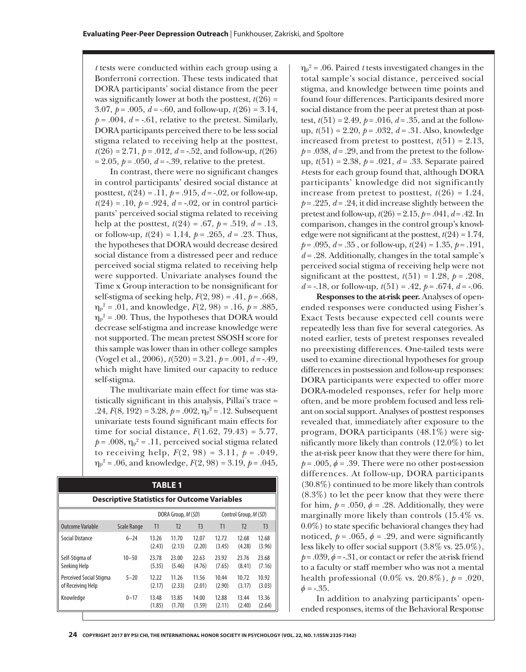*t* tests were conducted within each group using a Bonferroni correction. These tests indicated that DORA participants' social distance from the peer was significantly lower at both the posttest,  $t(26) =$ 3.07,  $p = .005$ ,  $d = -.60$ , and follow-up,  $t(26) = 3.14$ ,  $p = .004$ ,  $d = -.61$ , relative to the pretest. Similarly, DORA participants perceived there to be less social stigma related to receiving help at the posttest,  $t(26) = 2.71$ ,  $p = .012$ ,  $d = -.52$ , and follow-up,  $t(26)$  $= 2.05, p = .050, d = .39$ , relative to the pretest.

In contrast, there were no significant changes in control participants' desired social distance at posttest, *t*(24) = .11, *p* = .915, *d* = -.02, or follow-up,  $t(24) = .10, p = .924, d = .02$ , or in control participants' perceived social stigma related to receiving help at the posttest,  $t(24) = .67$ ,  $p = .519$ ,  $d = .13$ , or follow-up, *t*(24) = 1.14, *p* = .265, *d* = .23. Thus, the hypotheses that DORA would decrease desired social distance from a distressed peer and reduce perceived social stigma related to receiving help were supported. Univariate analyses found the Time x Group interaction to be nonsignificant for self-stigma of seeking help, *F*(2, 98) = .41, *p* = .668,  $\eta_{p}^2$  = .01, and knowledge,  $F(2, 98)$  = .16,  $p$  = .885,  $\eta_{p}^{2}$  = .00. Thus, the hypotheses that DORA would decrease self-stigma and increase knowledge were not supported. The mean pretest SSOSH score for this sample was lower than in other college samples (Vogel et al., 2006), *t*(520) = 3.21, *p* = .001, *d* = -.49, which might have limited our capacity to reduce self-stigma.

The multivariate main effect for time was statistically significant in this analysis, Pillai's trace = .24,  $F(8, 192) = 3.28$ ,  $p = .002$ ,  $\eta_p^2 = .12$ . Subsequent univariate tests found significant main effects for time for social distance, *F*(1.62, 79.43) = 5.77,  $p = .008$ ,  $\eta_p^2 = .11$ , perceived social stigma related to receiving help,  $F(2, 98) = 3.11$ ,  $p = .049$ ,  $\eta_p^2$  = .06, and knowledge,  $F(2, 98)$  = 3.19,  $p$  = .045,

| <b>TABLE 1</b><br><b>Descriptive Statistics for Outcome Variables</b> |                    |                 |                 |                 |                 |                 |                 |
|-----------------------------------------------------------------------|--------------------|-----------------|-----------------|-----------------|-----------------|-----------------|-----------------|
|                                                                       |                    |                 |                 |                 |                 |                 |                 |
| Outcome Variable                                                      | <b>Scale Range</b> | T1              | T <sub>2</sub>  | T <sub>3</sub>  | T1              | T <sub>2</sub>  | T <sub>3</sub>  |
| Social Distance                                                       | $6 - 24$           | 13.26<br>(2.43) | 11.70<br>(2.13) | 12.07<br>(2.20) | 12.72<br>(3.45) | 12.68<br>(4.28) | 12.68<br>(3.96) |
| Self-Stigma of<br>Seeking Help                                        | $10 - 50$          | 23.78<br>(5.35) | 23.00<br>(5.46) | 22.63<br>(4.76) | 23.92<br>(7.65) | 23.76<br>(8.41) | 23.68<br>(7.16) |
| Perceived Social Stigma<br>of Receiving Help                          | $5 - 20$           | 12.22<br>(2.17) | 11.26<br>(2.33) | 11.56<br>(2.01) | 10.44<br>(2.90) | 10.72<br>(3.17) | 10.92<br>(3.03) |
| Knowledge                                                             | $0 - 17$           | 13.48<br>(1.85) | 13.85<br>(1.70) | 14.00<br>(1.59) | 12.88<br>(2.11) | 13.44<br>(2.40) | 13.36<br>(2.64) |

 $\eta_p^2$  = .06. Paired *t* tests investigated changes in the total sample's social distance, perceived social stigma, and knowledge between time points and found four differences. Participants desired more social distance from the peer at pretest than at posttest,  $t(51) = 2.49$ ,  $p = .016$ ,  $d = .35$ , and at the followup, *t*(51) = 2.20, *p* = .032, *d* = .31. Also, knowledge increased from pretest to posttest,  $t(51) = 2.13$ ,  $p = .038$ ,  $d = .29$ , and from the pretest to the followup, *t*(51) = 2.38, *p* = .021, *d* = .33. Separate paired *t*-tests for each group found that, although DORA participants' knowledge did not significantly increase from pretest to posttest,  $t(26) = 1.24$ ,  $p = 0.225$ ,  $d = 0.24$ , it did increase slightly between the pretest and follow-up,  $t(26) = 2.15$ ,  $p = .041$ ,  $d = .42$ . In comparison, changes in the control group's knowledge were not significant at the posttest,  $t(24) = 1.74$ , *p* = .095, *d* = .35 , or follow-up, *t*(24) = 1.35, *p* = .191, *d* = .28. Additionally, changes in the total sample's perceived social stigma of receiving help were not significant at the posttest,  $t(51) = 1.28$ ,  $p = .208$ , *d* = -.18, or follow-up,  $t(51) = .42$ ,  $p = .674$ ,  $d = -.06$ .

**Responses to the at-risk peer.** Analyses of openended responses were conducted using Fisher's Exact Tests because expected cell counts were repeatedly less than five for several categories. As noted earlier, tests of pretest responses revealed no preexisting differences. One-tailed tests were used to examine directional hypotheses for group differences in postsession and follow-up responses: DORA participants were expected to offer more DORA-modeled responses, refer for help more often, and be more problem focused and less reliant on social support. Analyses of posttest responses revealed that, immediately after exposure to the program, DORA participants (48.1%) were significantly more likely than controls (12.0%) to let the at-risk peer know that they were there for him,  $p = .005$ ,  $\phi = .39$ . There were no other post-session differences. At follow-up, DORA participants (30.8%) continued to be more likely than controls (8.3%) to let the peer know that they were there for him,  $p = .050$ ,  $\phi = .28$ . Additionally, they were marginally more likely than controls (15.4% vs. 0.0%) to state specific behavioral changes they had noticed,  $p = .065$ ,  $\phi = .29$ , and were significantly less likely to offer social support (3.8% vs. 25.0%),  $p = .039$ ,  $\phi = .31$ , or contact or refer the at-risk friend to a faculty or staff member who was not a mental health professional  $(0.0\% \text{ vs. } 20.8\%), p = .020,$  $\phi = -.35$ .

In addition to analyzing participants' openended responses, items of the Behavioral Response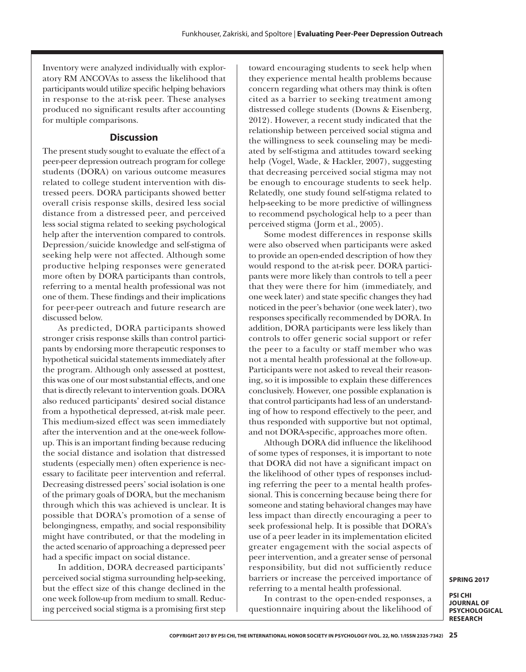Inventory were analyzed individually with exploratory RM ANCOVAs to assess the likelihood that participants would utilize specific helping behaviors in response to the at-risk peer. These analyses produced no significant results after accounting for multiple comparisons.

#### **Discussion**

The present study sought to evaluate the effect of a peer-peer depression outreach program for college students (DORA) on various outcome measures related to college student intervention with distressed peers. DORA participants showed better overall crisis response skills, desired less social distance from a distressed peer, and perceived less social stigma related to seeking psychological help after the intervention compared to controls. Depression/suicide knowledge and self-stigma of seeking help were not affected. Although some productive helping responses were generated more often by DORA participants than controls, referring to a mental health professional was not one of them. These findings and their implications for peer-peer outreach and future research are discussed below.

As predicted, DORA participants showed stronger crisis response skills than control participants by endorsing more therapeutic responses to hypothetical suicidal statements immediately after the program. Although only assessed at posttest, this was one of our most substantial effects, and one that is directly relevant to intervention goals. DORA also reduced participants' desired social distance from a hypothetical depressed, at-risk male peer. This medium-sized effect was seen immediately after the intervention and at the one-week followup. This is an important finding because reducing the social distance and isolation that distressed students (especially men) often experience is necessary to facilitate peer intervention and referral. Decreasing distressed peers' social isolation is one of the primary goals of DORA, but the mechanism through which this was achieved is unclear. It is possible that DORA's promotion of a sense of belongingness, empathy, and social responsibility might have contributed, or that the modeling in the acted scenario of approaching a depressed peer had a specific impact on social distance.

In addition, DORA decreased participants' perceived social stigma surrounding help-seeking, but the effect size of this change declined in the one week follow-up from medium to small. Reducing perceived social stigma is a promising first step toward encouraging students to seek help when they experience mental health problems because concern regarding what others may think is often cited as a barrier to seeking treatment among distressed college students (Downs & Eisenberg, 2012). However, a recent study indicated that the relationship between perceived social stigma and the willingness to seek counseling may be mediated by self-stigma and attitudes toward seeking help (Vogel, Wade, & Hackler, 2007), suggesting that decreasing perceived social stigma may not be enough to encourage students to seek help. Relatedly, one study found self-stigma related to help-seeking to be more predictive of willingness to recommend psychological help to a peer than perceived stigma (Jorm et al., 2005).

Some modest differences in response skills were also observed when participants were asked to provide an open-ended description of how they would respond to the at-risk peer. DORA participants were more likely than controls to tell a peer that they were there for him (immediately, and one week later) and state specific changes they had noticed in the peer's behavior (one week later), two responses specifically recommended by DORA. In addition, DORA participants were less likely than controls to offer generic social support or refer the peer to a faculty or staff member who was not a mental health professional at the follow-up. Participants were not asked to reveal their reasoning, so it is impossible to explain these differences conclusively. However, one possible explanation is that control participants had less of an understanding of how to respond effectively to the peer, and thus responded with supportive but not optimal, and not DORA-specific, approaches more often.

Although DORA did influence the likelihood of some types of responses, it is important to note that DORA did not have a significant impact on the likelihood of other types of responses including referring the peer to a mental health professional. This is concerning because being there for someone and stating behavioral changes may have less impact than directly encouraging a peer to seek professional help. It is possible that DORA's use of a peer leader in its implementation elicited greater engagement with the social aspects of peer intervention, and a greater sense of personal responsibility, but did not sufficiently reduce barriers or increase the perceived importance of referring to a mental health professional.

In contrast to the open-ended responses, a questionnaire inquiring about the likelihood of **SPRING 2017**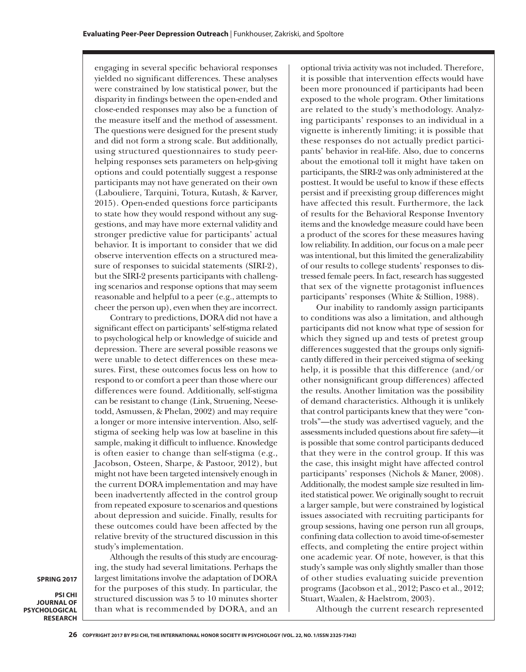engaging in several specific behavioral responses yielded no significant differences. These analyses were constrained by low statistical power, but the disparity in findings between the open-ended and close-ended responses may also be a function of the measure itself and the method of assessment. The questions were designed for the present study and did not form a strong scale. But additionally, using structured questionnaires to study peerhelping responses sets parameters on help-giving options and could potentially suggest a response participants may not have generated on their own (Labouliere, Tarquini, Totura, Kutash, & Karver, 2015). Open-ended questions force participants to state how they would respond without any suggestions, and may have more external validity and stronger predictive value for participants' actual behavior. It is important to consider that we did observe intervention effects on a structured measure of responses to suicidal statements (SIRI-2), but the SIRI-2 presents participants with challenging scenarios and response options that may seem reasonable and helpful to a peer (e.g., attempts to cheer the person up), even when they are incorrect.

Contrary to predictions, DORA did not have a significant effect on participants' self-stigma related to psychological help or knowledge of suicide and depression. There are several possible reasons we were unable to detect differences on these measures. First, these outcomes focus less on how to respond to or comfort a peer than those where our differences were found. Additionally, self-stigma can be resistant to change (Link, Struening, Neesetodd, Asmussen, & Phelan, 2002) and may require a longer or more intensive intervention. Also, selfstigma of seeking help was low at baseline in this sample, making it difficult to influence. Knowledge is often easier to change than self-stigma (e.g., Jacobson, Osteen, Sharpe, & Pastoor, 2012), but might not have been targeted intensively enough in the current DORA implementation and may have been inadvertently affected in the control group from repeated exposure to scenarios and questions about depression and suicide. Finally, results for these outcomes could have been affected by the relative brevity of the structured discussion in this study's implementation.

Although the results of this study are encouraging, the study had several limitations. Perhaps the largest limitations involve the adaptation of DORA for the purposes of this study. In particular, the structured discussion was 5 to 10 minutes shorter than what is recommended by DORA, and an

optional trivia activity was not included. Therefore, it is possible that intervention effects would have been more pronounced if participants had been exposed to the whole program. Other limitations are related to the study's methodology. Analyzing participants' responses to an individual in a vignette is inherently limiting; it is possible that these responses do not actually predict participants' behavior in real-life. Also, due to concerns about the emotional toll it might have taken on participants, the SIRI-2 was only administered at the posttest. It would be useful to know if these effects persist and if preexisting group differences might have affected this result. Furthermore, the lack of results for the Behavioral Response Inventory items and the knowledge measure could have been a product of the scores for these measures having low reliability. In addition, our focus on a male peer was intentional, but this limited the generalizability of our results to college students' responses to distressed female peers. In fact, research has suggested that sex of the vignette protagonist influences participants' responses (White & Stillion, 1988).

Our inability to randomly assign participants to conditions was also a limitation, and although participants did not know what type of session for which they signed up and tests of pretest group differences suggested that the groups only significantly differed in their perceived stigma of seeking help, it is possible that this difference (and/or other nonsignificant group differences) affected the results. Another limitation was the possibility of demand characteristics. Although it is unlikely that control participants knew that they were "controls"—the study was advertised vaguely, and the assessments included questions about fire safety—it is possible that some control participants deduced that they were in the control group. If this was the case, this insight might have affected control participants' responses (Nichols & Maner, 2008). Additionally, the modest sample size resulted in limited statistical power. We originally sought to recruit a larger sample, but were constrained by logistical issues associated with recruiting participants for group sessions, having one person run all groups, confining data collection to avoid time-of-semester effects, and completing the entire project within one academic year. Of note, however, is that this study's sample was only slightly smaller than those of other studies evaluating suicide prevention programs (Jacobson et al., 2012; Pasco et al., 2012; Stuart, Waalen, & Haelstrom, 2003).

Although the current research represented

**SPRING 2017**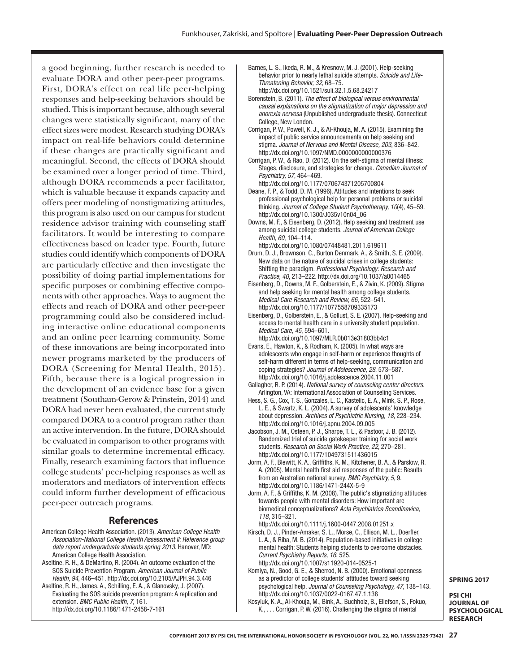a good beginning, further research is needed to evaluate DORA and other peer-peer programs. First, DORA's effect on real life peer-helping responses and help-seeking behaviors should be studied. This is important because, although several changes were statistically significant, many of the effect sizes were modest. Research studying DORA's impact on real-life behaviors could determine if these changes are practically significant and meaningful. Second, the effects of DORA should be examined over a longer period of time. Third, although DORA recommends a peer facilitator, which is valuable because it expands capacity and offers peer modeling of nonstigmatizing attitudes, this program is also used on our campus for student residence advisor training with counseling staff facilitators. It would be interesting to compare effectiveness based on leader type. Fourth, future studies could identify which components of DORA are particularly effective and then investigate the possibility of doing partial implementations for specific purposes or combining effective components with other approaches. Ways to augment the effects and reach of DORA and other peer-peer programming could also be considered including interactive online educational components and an online peer learning community. Some of these innovations are being incorporated into newer programs marketed by the producers of DORA (Screening for Mental Health, 2015). Fifth, because there is a logical progression in the development of an evidence base for a given treatment (Southam-Gerow & Prinstein, 2014) and DORA had never been evaluated, the current study compared DORA to a control program rather than an active intervention. In the future, DORA should be evaluated in comparison to other programs with similar goals to determine incremental efficacy. Finally, research examining factors that influence college students' peer-helping responses as well as moderators and mediators of intervention effects could inform further development of efficacious peer-peer outreach programs.

#### **References**

- American College Health Association. (2013). *American College Health Association-National College Health Assessment II: Reference group data report undergraduate students spring 2013*. Hanover, MD: American College Health Association.
- Aseltine, R. H., & DeMartino, R. (2004). An outcome evaluation of the SOS Suicide Prevention Program. *American Journal of Public Health, 94*, 446–451. [http://dx.doi.org/10.2105/AJPH.94.3.446](http://dx.doi.org/10.2105/AJPH.94.3.446  )
- Aseltine, R. H., James, A., Schilling, E. A., & Glanovsky, J. (2007). Evaluating the SOS suicide prevention program: A replication and extension. *BMC Public Health, 7*, 161. [http://dx.doi.org/10.1186/1471-2458-7-161](http://dx.doi.org/10.1186/1471-2458-7-161  )
- Barnes, L. S., Ikeda, R. M., & Kresnow, M. J. (2001). Help-seeking behavior prior to nearly lethal suicide attempts. *Suicide and Life-Threatening Behavior, 32*, 68–75. <http://dx.doi.org/10.1521/suli.32.1.5.68.24217>
- Borenstein, B. (2011). *The effect of biological versus environmental causal explanations on the stigmatization of major depression and anorexia nervosa* (Unpublished undergraduate thesis). Connecticut College, New London.
- Corrigan, P. W., Powell, K. J., & Al-Khouja, M. A. (2015). Examining the impact of public service announcements on help seeking and stigma. *Journal of Nervous and Mental Disease, 203*, 836–842. [http://dx.doi.org/10.1097/NMD.0000000000000376](http://dx.doi.org/10.1097/NMD.0000000000000376 )
- Corrigan, P. W., & Rao, D. (2012). On the self-stigma of mental illness: Stages, disclosure, and strategies for change. *Canadian Journal of Psychiatry, 57*, 464–469.
- [http://dx.doi.org/10.1177/070674371205700804](http://dx.doi.org/10.1177/070674371205700804 )  Deane, F. P., & Todd, D. M. (1996). Attitudes and intentions to seek professional psychological help for personal problems or suicidal thinking. *Journal of College Student Psychotherapy, 10*(4), 45–59.
- [http://dx.doi.org/10.1300/J035v10n04\\_06](http://dx.doi.org/10.1300/J035v10n04_06) Downs, M. F., & Eisenberg, D. (2012). Help seeking and treatment use among suicidal college students. *Journal of American College Health, 60*, 104–114.

<http://dx.doi.org/10.1080/07448481.2011.619611>

- Drum, D. J., Brownson, C., Burton Denmark, A., & Smith, S. E. (2009). New data on the nature of suicidal crises in college students: Shifting the paradigm. *Professional Psychology: Research and Practice, 40*, 213–222.<http://dx.doi.org/10.1037/a0014465>
- Eisenberg, D., Downs, M. F., Golberstein, E., & Zivin, K. (2009). Stigma and help seeking for mental health among college students. *Medical Care Research and Review, 66*, 522–541. <http://dx.doi.org/10.1177/1077558709335173>
- Eisenberg, D., Golberstein, E., & Gollust, S. E. (2007). Help-seeking and access to mental health care in a university student population. *Medical Care, 45*, 594–601.
- <http://dx.doi.org/10.1097/MLR.0b013e31803bb4c1> Evans, E., Hawton, K., & Rodham, K. (2005). In what ways are adolescents who engage in self-harm or experience thoughts of self-harm different in terms of help-seeking, communication and coping strategies? *[Journal of Adolescence, 28](http://Journal of Adolescence, 28)*, 573–587. <http://dx.doi.org/10.1016/j.adolescence.2004.11.001>
- Gallagher, R. P. (2014). *National survey of counseling center directors.* Arlington, VA: International Association of Counseling Services.
- Hess, S. G., Cox, T. S., Gonzales, L. C., Kastelic, E. A., Mink, S. P., Rose, L. E., & Swartz, K. L. (2004). A survey of adolescents' knowledge about depression. *Archives of Psychiatric Nursing, 18*, 228–234. <http://dx.doi.org/10.1016/j.apnu.2004.09.005>
- Jacobson, J. M., Osteen, P. J., Sharpe, T. L., & Pastoor, J. B. (2012). Randomized trial of suicide gatekeeper training for social work students. *Research on Social Work Practice, 22*, 270–281. <http://dx.doi.org/10.1177/1049731511436015>
- Jorm, A. F., Blewitt, K. A., Griffiths, K. M., Kitchener, B. A., & Parslow, R. A. (2005). Mental health first aid responses of the public: Results from an Australian national survey. *BMC Psychiatry, 5*, 9. [http://dx.doi.org/10.1186/1471-244X-5-9](http://dx.doi.org/10.1186/1471-244X-5-9  )
- Jorm, A. F., & Griffiths, K. M. (2008). The public's stigmatizing attitudes towards people with mental disorders: How important are biomedical conceptualizations? *Acta Psychiatrica Scandinavica, 118*, 315–321.

[http://dx.doi.org/10.1111/j.1600-0447.2008.01251.x](http://dx.doi.org/10.1111/j.1600-0447.2008.01251.x  ) 

- Kirsch, D. J., Pinder-Amaker, S. L., Morse, C., Ellison, M. L., Doerfler, L. A., & Riba, M. B. (2014). Population-based initiatives in college mental health: Students helping students to overcome obstacles. *Current Psychiatry Reports, 16*, 525.
- [http://dx.doi.org/10.1007/s11920-014-0525-1](http://dx.doi.org/10.1007/s11920-014-0525-1  )  Komiya, N., Good, G. E., & Sherrod, N. B. (2000). Emotional openness as a predictor of college students' attitudes toward seeking psychological help. *Journal of Counseling Psychology, 47*, 138–143. [http://dx.doi.org/10.1037/0022-0167.47.1.138](http://dx.doi.org/10.1037/0022-0167.47.1.138  )
- Kosyluk, K. A., Al-Khouja, M., Bink, A., Buchholz, B., Ellefson, S., Fokuo, K., . . . Corrigan, P. W. (2016). Challenging the stigma of mental

**SPRING 2017**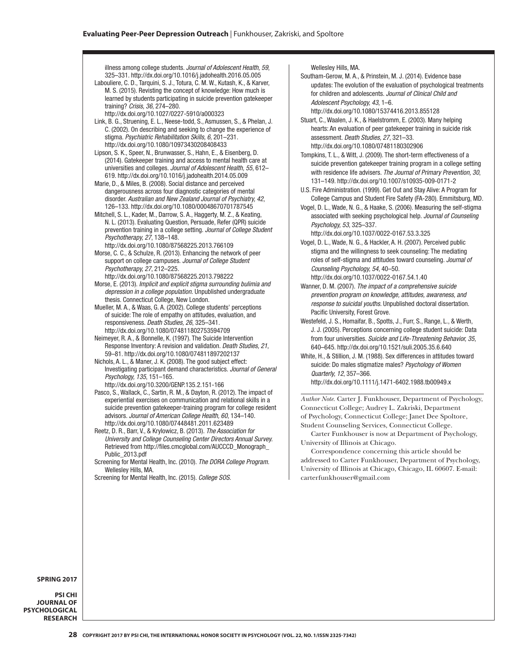illness among college students. *Journal of Adolescent Health, 59*, 325–331. [http://dx.doi.org/10.1016/j.jadohealth.2016.05.005](http://dx.doi.org/10.1016/j.jadohealth.2016.05.005  ) 

- Labouliere, C. D., Tarquini, S. J., Totura, C. M. W., Kutash, K., & Karver, M. S. (2015). Revisting the concept of knowledge: How much is learned by students participating in suicide prevention gatekeeper training? *Crisis, 36*, 274–280. [http://dx.doi.org/10.1027/0227-5910/a000323](http://dx.doi.org/10.1027/0227-5910/a000323  )
- Link, B. G., Struening, E. L., Neese-todd, S., Asmussen, S., & Phelan, J. C. (2002). On describing and seeking to change the experience of stigma. *Psychiatric Rehabilitation Skills, 6*, 201–231. [http://dx.doi.org/10.1080/10973430208408433](http://dx.doi.org/10.1080/10973430208408433  )
- Lipson, S. K., Speer, N., Brunwasser, S., Hahn, E., & Eisenberg, D. (2014). Gatekeeper training and access to mental health care at universities and colleges. *Journal of Adolescent Health, 55*, 612– 619. [http://dx.doi.org/10.1016/j.jadohealth.2014.05.009](http://dx.doi.org/10.1016/j.jadohealth.2014.05.009  )
- Marie, D., & Miles, B. (2008). Social distance and perceived dangerousness across four diagnostic categories of mental disorder. *Australian and New Zealand Journal of Psychiatry, 42*, 126–133. [http://dx.doi.org/10.1080/00048670701787545](http://dx.doi.org/10.1080/00048670701787545  )
- Mitchell, S. L., Kader, M., Darrow, S. A., Haggerty, M. Z., & Keating, N. L. (2013). Evaluating Question, Persuade, Refer (QPR) suicide prevention training in a college setting. *Journal of College Student Psychotherapy, 27*, 138–148.
- [http://dx.doi.org/10.1080/87568225.2013.766109](http://dx.doi.org/10.1080/87568225.2013.766109  )
- Morse, C. C., & Schulze, R. (2013). Enhancing the network of peer support on college campuses. *Journal of College Student Psychotherapy, 27*, 212–225.
- [http://dx.doi.org/10.1080/87568225.2013.798222](http://dx.doi.org/10.1080/87568225.2013.798222  )  Morse, E. (2013). *Implicit and explicit stigma surrounding bulimia and depression in a college population.* Unpublished undergraduate thesis. Connecticut College, New London.
- Mueller, M. A., & Waas, G. A. (2002). College students' perceptions of suicide: The role of empathy on attitudes, evaluation, and responsiveness. *Death Studies, 26*, 325–341. [http://dx.doi.org/10.1080/074811802753594709](http://dx.doi.org/10.1080/074811802753594709  )
- Neimeyer, R. A., & Bonnelle, K. (1997). The Suicide Intervention Response Inventory: A revision and validation. *Death Studies, 21*, 59–81. [http://dx.doi.org/10.1080/074811897202137](http://dx.doi.org/10.1080/074811897202137  )
- Nichols, A. L., & Maner, J. K. (2008). The good subject effect: Investigating participant demand characteristics. *Journal of General Psychology, 135*, 151–165. [http://dx.doi.org/10.3200/GENP.135.2.151-166](http://dx.doi.org/10.3200/GENP.135.2.151-166  )
- Pasco, S., Wallack, C., Sartin, R. M., & Dayton, R. (2012). The impact of experiential exercises on communication and relational skills in a suicide prevention gatekeeper-training program for college resident advisors. *Journal of American College Health, 60*, 134–140. <http://dx.doi.org/10.1080/07448481.2011.623489>
- Reetz, D. R., Barr, V., & Krylowicz, B. (2013). *The Association for University and College Counseling Center Directors Annual Survey.*  Retrieved from [http://files.cmcglobal.com/AUCCCD\\_Monograph\\_](http://files.cmcglobal.com/AUCCCD_Monograph_Public_2013.pdf) [Public\\_2013.pdf](http://files.cmcglobal.com/AUCCCD_Monograph_Public_2013.pdf)
- Screening for Mental Health, Inc. (2010). *The DORA College Program.* Wellesley Hills, MA.
- Screening for Mental Health, Inc. (2015). *College SOS.*

#### Wellesley Hills, MA.

Southam-Gerow, M. A., & Prinstein, M. J. (2014). Evidence base updates: The evolution of the evaluation of psychological treatments for children and adolescents. *Journal of Clinical Child and Adolescent Psychology, 43*, 1–6.

[http://dx.doi.org/10.1080/15374416.2013.855128](http://dx.doi.org/10.1080/15374416.2013.855128  ) 

- Stuart, C., Waalen, J. K., & Haelstromm, E. (2003). Many helping hearts: An evaluation of peer gatekeeper training in suicide risk assessment. *Death Studies, 27*, 321–33. [http://dx.doi.org/10.1080/07481180302906](http://dx.doi.org/10.1080/07481180302906  )
- Tompkins, T. L., & Witt, J. (2009). The short-term effectiveness of a suicide prevention gatekeeper training program in a college setting with residence life advisers. *The Journal of Primary Prevention, 30*, 131–149. <http://dx.doi.org/10.1007/s10935-009-0171-2>
- U.S. Fire Administration. (1999). Get Out and Stay Alive: A Program for College Campus and Student Fire Safety (FA-280). Emmitsburg, MD.
- Vogel, D. L., Wade, N. G., & Haake, S. (2006). Measuring the self-stigma associated with seeking psychological help. *Journal of Counseling Psychology, 53*, 325–337.

[http://dx.doi.org/10.1037/0022-0167.53.3.325](http://dx.doi.org/10.1037/0022-0167.53.3.325  ) 

- Vogel, D. L., Wade, N. G., & Hackler, A. H. (2007). Perceived public stigma and the willingness to seek counseling: The mediating roles of self-stigma and attitudes toward counseling. *Journal of Counseling Psychology, 54*, 40–50.
- [http://dx.doi.org/10.1037/0022-0167.54.1.40](http://dx.doi.org/10.1037/0022-0167.54.1.40  )  Wanner, D. M. (2007). *The impact of a comprehensive suicide prevention program on knowledge, attitudes, awareness, and response to suicidal youths.* Unpublished doctoral dissertation. Pacific University, Forest Grove.
- Westefeld, J. S., Homaifar, B., Spotts, J., Furr, S., Range, L., & Werth, J. J. (2005). Perceptions concerning college student suicide: Data from four universities. *Suicide and Life-Threatening Behavior, 35*, 640–645. <http://dx.doi.org/10.1521/suli.2005.35.6.640>
- White, H., & Stillion, J. M. (1988). Sex differences in attitudes toward suicide: Do males stigmatize males? *Psychology of Women Quarterly, 12*, 357–366. [http://dx.doi.org/10.1111/j.1471-6402.1988.tb00949.x](http://dx.doi.org/10.1111/j.1471-6402.1988.tb00949.x )

*Author Note.* [Carter J. Funkhouser, Department of Psychology,](http://dx.doi.org/10.1111/j.1471-6402.1988.tb00949.x )  [Connecticut College; Audrey L. Zakriski, Department](http://dx.doi.org/10.1111/j.1471-6402.1988.tb00949.x )  [of Psychology, Connecticut College; Janet Dee Spoltore,](http://dx.doi.org/10.1111/j.1471-6402.1988.tb00949.x )  [Student Counseling Services, Connecticut College.](http://dx.doi.org/10.1111/j.1471-6402.1988.tb00949.x )

[Carter Funkhouser is now at Department of Psychology,](http://dx.doi.org/10.1111/j.1471-6402.1988.tb00949.x )  [University of Illinois at Chicago.](http://dx.doi.org/10.1111/j.1471-6402.1988.tb00949.x )

[Correspondence concerning this article should be](http://dx.doi.org/10.1111/j.1471-6402.1988.tb00949.x )  [addressed to Carter Funkhouser, Department of Psychology,](http://dx.doi.org/10.1111/j.1471-6402.1988.tb00949.x )  [University of Illinois at Chicago, Chicago, IL 60607. E-mail:](http://dx.doi.org/10.1111/j.1471-6402.1988.tb00949.x )  [carterfunkhouser@gmail.com](http://dx.doi.org/10.1111/j.1471-6402.1988.tb00949.x )

#### **SPRING 2017**